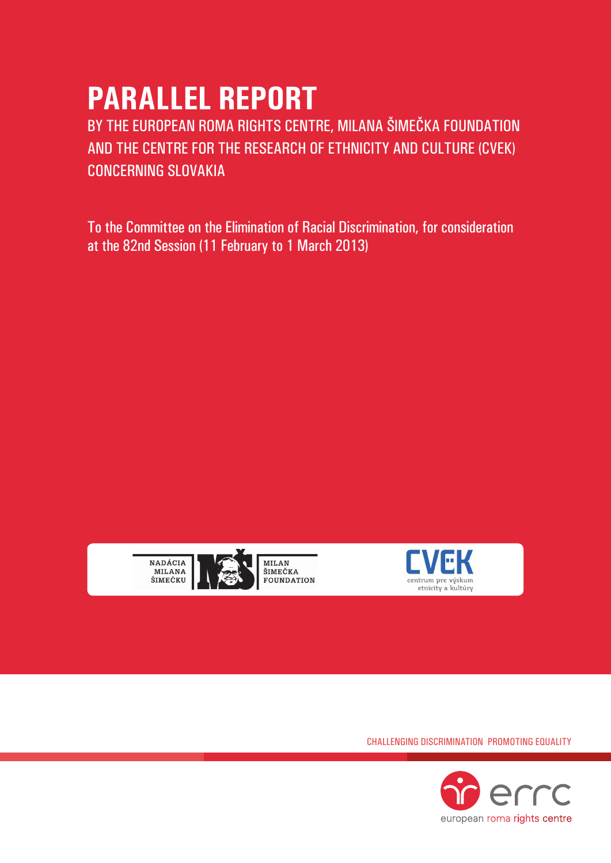# **parallel report**

BY THE EUROPEAN ROMA RIGHTS CENTRE, MILANA ŠIMEČKA FOUNDATION AND THE CENTRE FOR THE RESEARCH OF ETHNICITY AND CULTURE (CVEK) CONCERNING Slovakia

To the Committee on the Elimination of Racial Discrimination, for consideration at the 82nd Session (11 February to 1 March 2013)





Challenging Discrimination Promoting Equality

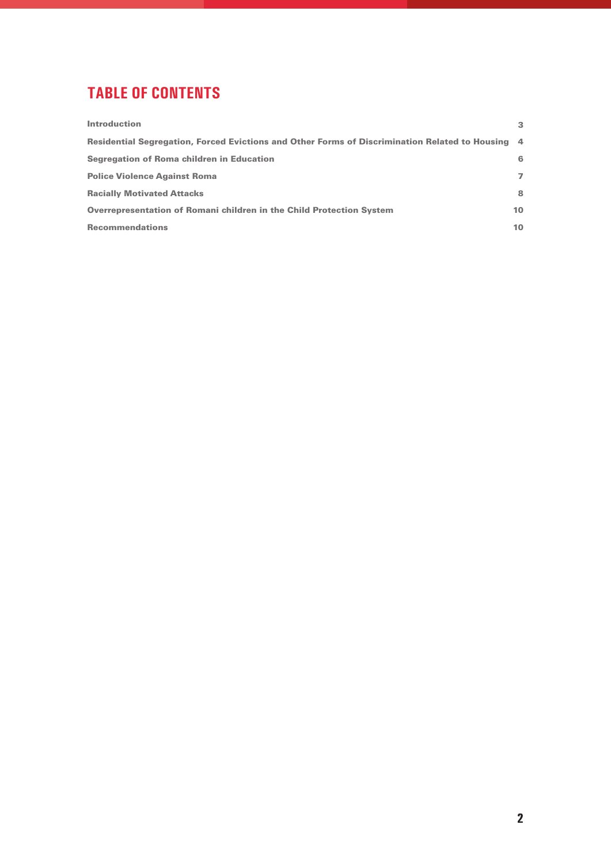## **tablE of contents**

| <b>Introduction</b>                                                                              | 3              |
|--------------------------------------------------------------------------------------------------|----------------|
| Residential Segregation, Forced Evictions and Other Forms of Discrimination Related to Housing 4 |                |
| Segregation of Roma children in Education                                                        | 6              |
| <b>Police Violence Against Roma</b>                                                              | $\overline{ }$ |
| <b>Racially Motivated Attacks</b>                                                                | 8              |
| <b>Overrepresentation of Romani children in the Child Protection System</b>                      | 10             |
| <b>Recommendations</b>                                                                           | 10             |
|                                                                                                  |                |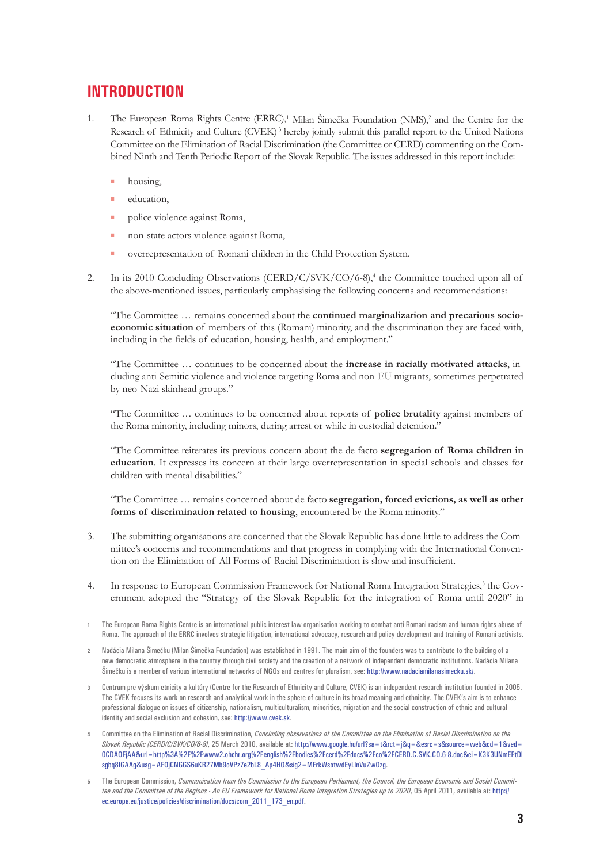## **Introduction**

- 1. The European Roma Rights Centre (ERRC),<sup>1</sup> Milan Šimečka Foundation (NMS),<sup>2</sup> and the Centre for the Research of Ethnicity and Culture (CVEK) <sup>3</sup> hereby jointly submit this parallel report to the United Nations Committee on the Elimination of Racial Discrimination (the Committee or CERD) commenting on the Combined Ninth and Tenth Periodic Report of the Slovak Republic. The issues addressed in this report include:
	- housing,
	- $\blacksquare$  education,
	- police violence against Roma,
	- **non-state actors violence against Roma,**
	- overrepresentation of Romani children in the Child Protection System.
- 2. In its 2010 Concluding Observations (CERD/C/SVK/CO/6-8),<sup>4</sup> the Committee touched upon all of the above-mentioned issues, particularly emphasising the following concerns and recommendations:

"The Committee … remains concerned about the **continued marginalization and precarious socioeconomic situation** of members of this (Romani) minority, and the discrimination they are faced with, including in the fields of education, housing, health, and employment."

"The Committee … continues to be concerned about the **increase in racially motivated attacks**, including anti-Semitic violence and violence targeting Roma and non-EU migrants, sometimes perpetrated by neo-Nazi skinhead groups."

"The Committee … continues to be concerned about reports of **police brutality** against members of the Roma minority, including minors, during arrest or while in custodial detention."

"The Committee reiterates its previous concern about the de facto **segregation of Roma children in education**. It expresses its concern at their large overrepresentation in special schools and classes for children with mental disabilities."

"The Committee … remains concerned about de facto **segregation, forced evictions, as well as other forms of discrimination related to housing**, encountered by the Roma minority."

- 3. The submitting organisations are concerned that the Slovak Republic has done little to address the Committee's concerns and recommendations and that progress in complying with the International Convention on the Elimination of All Forms of Racial Discrimination is slow and insufficient.
- 4. In response to European Commission Framework for National Roma Integration Strategies,<sup>5</sup> the Government adopted the "Strategy of the Slovak Republic for the integration of Roma until 2020" in
- **1** The European Roma Rights Centre is an international public interest law organisation working to combat anti-Romani racism and human rights abuse of Roma. The approach of the ERRC involves strategic litigation, international advocacy, research and policy development and training of Romani activists.
- **2** Nadácia Milana Šimečku (Milan Šimečka Foundation) was established in 1991. The main aim of the founders was to contribute to the building of a new democratic atmosphere in the country through civil society and the creation of a network of independent democratic institutions. Nadácia Milana Šimečku is a member of various international networks of NGOs and centres for pluralism, see: http://www.nadaciamilanasimecku.sk/.
- **3** Centrum pre výskum etnicity a kultúry (Centre for the Research of Ethnicity and Culture, CVEK) is an independent research institution founded in 2005. The CVEK focuses its work on research and analytical work in the sphere of culture in its broad meaning and ethnicity. The CVEK's aim is to enhance professional dialogue on issues of citizenship, nationalism, multiculturalism, minorities, migration and the social construction of ethnic and cultural identity and social exclusion and cohesion, see: http://www.cvek.sk.
- **4** Committee on the Elimination of Racial Discrimination, *Concluding observations of the Committee on the Elimination of Racial Discrimination on the Slovak Republic (CERD/C/SVK/CO/6-8)*, 25 March 2010, available at: [http://www.google.hu/url?sa=t&rct=j&q=&esrc=s&source=web&cd=1&ved=](http://www.google.hu/url?sa=t&rct=j&q=&esrc=s&source=web&cd=1&ved=0CDAQFjAA&url=http%3A%2F%2Fwww2.ohchr.org%2Fenglish%2Fbodies%2Fcerd%2Fdocs%2Fco%2FCERD.C.SVK.CO.6-8.doc&ei=K3K3UNmEFtDIsgbq8IGAAg&usg=AFQjCNGGS6uKR27Mb9oVPz7e2bL8_Ap4HQ&sig2=MFrkWsotwdEyLlnVuZwOzg) [0CDAQFjAA&url=http%3A%2F%2Fwww2.ohchr.org%2Fenglish%2Fbodies%2Fcerd%2Fdocs%2Fco%2FCERD.C.SVK.CO.6-8.doc&ei=K3K3UNmEFtDI](http://www.google.hu/url?sa=t&rct=j&q=&esrc=s&source=web&cd=1&ved=0CDAQFjAA&url=http%3A%2F%2Fwww2.ohchr.org%2Fenglish%2Fbodies%2Fcerd%2Fdocs%2Fco%2FCERD.C.SVK.CO.6-8.doc&ei=K3K3UNmEFtDIsgbq8IGAAg&usg=AFQjCNGGS6uKR27Mb9oVPz7e2bL8_Ap4HQ&sig2=MFrkWsotwdEyLlnVuZwOzg) [sgbq8IGAAg&usg=AFQjCNGGS6uKR27Mb9oVPz7e2bL8\\_Ap4HQ&sig2=MFrkWsotwdEyLlnVuZwOzg](http://www.google.hu/url?sa=t&rct=j&q=&esrc=s&source=web&cd=1&ved=0CDAQFjAA&url=http%3A%2F%2Fwww2.ohchr.org%2Fenglish%2Fbodies%2Fcerd%2Fdocs%2Fco%2FCERD.C.SVK.CO.6-8.doc&ei=K3K3UNmEFtDIsgbq8IGAAg&usg=AFQjCNGGS6uKR27Mb9oVPz7e2bL8_Ap4HQ&sig2=MFrkWsotwdEyLlnVuZwOzg).
- **5** The European Commission, *Communication from the Commission to the European Parliament, the Council, the European Economic and Social Committee and the Committee of the Regions - An EU Framework for National Roma Integration Strategies up to 2020*, 05 April 2011, available at: [http://](http://ec.europa.eu/justice/policies/discrimination/docs/com_2011_173_en.pdf) [ec.europa.eu/justice/policies/discrimination/docs/com\\_2011\\_173\\_en.pdf](http://ec.europa.eu/justice/policies/discrimination/docs/com_2011_173_en.pdf).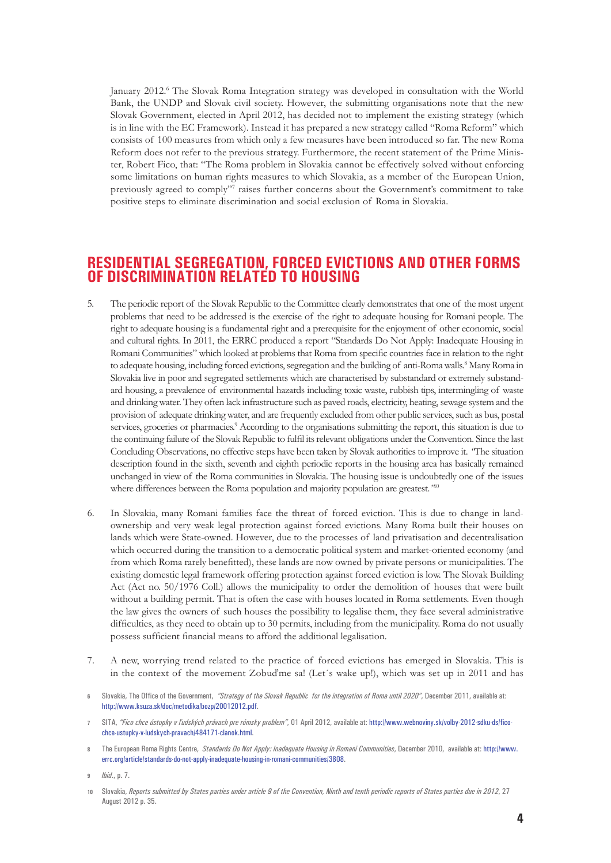January 2012.6 The Slovak Roma Integration strategy was developed in consultation with the World Bank, the UNDP and Slovak civil society. However, the submitting organisations note that the new Slovak Government, elected in April 2012, has decided not to implement the existing strategy (which is in line with the EC Framework). Instead it has prepared a new strategy called "Roma Reform" which consists of 100 measures from which only a few measures have been introduced so far. The new Roma Reform does not refer to the previous strategy. Furthermore, the recent statement of the Prime Minister, Robert Fico, that: "The Roma problem in Slovakia cannot be effectively solved without enforcing some limitations on human rights measures to which Slovakia, as a member of the European Union, previously agreed to comply"7 raises further concerns about the Government's commitment to take positive steps to eliminate discrimination and social exclusion of Roma in Slovakia.

#### **Residential segregation, forced evictions and other forms of discrimination related to housing**

- 5. The periodic report of the Slovak Republic to the Committee clearly demonstrates that one of the most urgent problems that need to be addressed is the exercise of the right to adequate housing for Romani people. The right to adequate housing is a fundamental right and a prerequisite for the enjoyment of other economic, social and cultural rights. In 2011, the ERRC produced a report "Standards Do Not Apply: Inadequate Housing in Romani Communities" which looked at problems that Roma from specific countries face in relation to the right to adequate housing, including forced evictions, segregation and the building of anti-Roma walls.<sup>8</sup> Many Roma in Slovakia live in poor and segregated settlements which are characterised by substandard or extremely substandard housing, a prevalence of environmental hazards including toxic waste, rubbish tips, intermingling of waste and drinking water. They often lack infrastructure such as paved roads, electricity, heating, sewage system and the provision of adequate drinking water, and are frequently excluded from other public services,such as bus, postal services, groceries or pharmacies.<sup>9</sup> According to the organisations submitting the report, this situation is due to the continuing failure of the Slovak Republic to fulfil itsrelevant obligations underthe Convention. Since the last Concluding Observations, no effective steps have been taken by Slovak authorities to improve it. *"*The situation description found in the sixth, seventh and eighth periodic reports in the housing area has basically remained unchanged in view of the Roma communities in Slovakia. The housing issue is undoubtedly one of the issues where differences between the Roma population and majority population are greatest.*"*<sup>10</sup>
- 6. In Slovakia, many Romani families face the threat of forced eviction. This is due to change in landownership and very weak legal protection against forced evictions. Many Roma built their houses on lands which were State-owned. However, due to the processes of land privatisation and decentralisation which occurred during the transition to a democratic political system and market-oriented economy (and from which Roma rarely benefitted), these lands are now owned by private persons or municipalities. The existing domestic legal framework offering protection against forced eviction is low. The Slovak Building Act (Act no. 50/1976 Coll.) allows the municipality to order the demolition of houses that were built without a building permit. That is often the case with houses located in Roma settlements. Even though the law gives the owners of such houses the possibility to legalise them, they face several administrative difficulties, as they need to obtain up to 30 permits, including from the municipality. Roma do not usually possess sufficient financial means to afford the additional legalisation.
- 7. A new, worrying trend related to the practice of forced evictions has emerged in Slovakia. This is in the context of the movement Zobuďme sa! (Let´s wake up!), which was set up in 2011 and has
- **6** Slovakia, The Office of the Government, *"Strategy of the Slovak Republic for the integration of Roma until 2020"*, December 2011, available at: <http://www.ksuza.sk/doc/metodika/bozp/20012012.pdf>.
- **7** SITA, *"Fico chce ústupky v ľudských právach pre rómsky problem"*, 01 April 2012, available at: [http://www.webnoviny.sk/volby-2012-sdku-ds/fico](http://www.webnoviny.sk/volby-2012-sdku-ds/fico-chce-ustupky-v-ludskych-pravach/484171-clanok.html)[chce-ustupky-v-ludskych-pravach/484171-clanok.html.](http://www.webnoviny.sk/volby-2012-sdku-ds/fico-chce-ustupky-v-ludskych-pravach/484171-clanok.html)
- **8** The European Roma Rights Centre, *Standards Do Not Apply: Inadequate Housing in Romani Communities*, December 2010, available at: [http://www.](http://www.errc.org/article/standards-do-not-apply-inadequate-housing-in-romani-communities/3808) [errc.org/article/standards-do-not-apply-inadequate-housing-in-romani-communities/3808](http://www.errc.org/article/standards-do-not-apply-inadequate-housing-in-romani-communities/3808).

**9** *Ibid*., p. 7.

**10** Slovakia, *Reports submitted by States parties under article 9 of the Convention, Ninth and tenth periodic reports of States parties due in 2012*, 27 August 2012 p. 35.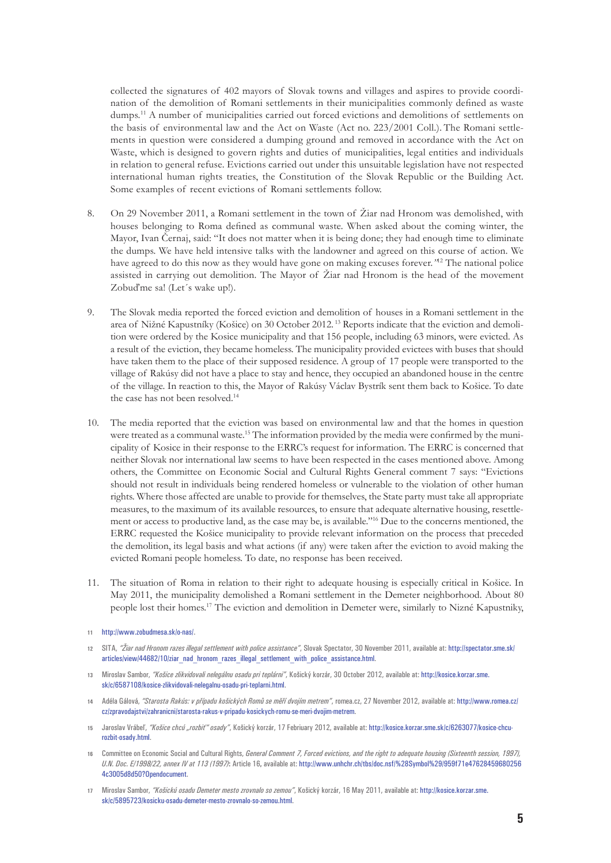collected the signatures of 402 mayors of Slovak towns and villages and aspires to provide coordination of the demolition of Romani settlements in their municipalities commonly defined as waste dumps.11 A number of municipalities carried out forced evictions and demolitions of settlements on the basis of environmental law and the Act on Waste (Act no. 223/2001 Coll.). The Romani settlements in question were considered a dumping ground and removed in accordance with the Act on Waste, which is designed to govern rights and duties of municipalities, legal entities and individuals in relation to general refuse. Evictions carried out under this unsuitable legislation have not respected international human rights treaties, the Constitution of the Slovak Republic or the Building Act. Some examples of recent evictions of Romani settlements follow.

- 8. On 29 November 2011, a Romani settlement in the town of Žiar nad Hronom was demolished, with houses belonging to Roma defined as communal waste. When asked about the coming winter, the Mayor, Ivan Černaj, said: "It does not matter when it is being done; they had enough time to eliminate the dumps. We have held intensive talks with the landowner and agreed on this course of action. We have agreed to do this now as they would have gone on making excuses forever.*"*<sup>12</sup> The national police assisted in carrying out demolition. The Mayor of Žiar nad Hronom is the head of the movement Zobuďme sa! (Let's wake up!).
- 9. The Slovak media reported the forced eviction and demolition of houses in a Romani settlement in the area of Nižné Kapustníky (Košice) on 30 October 2012. <sup>13</sup> Reports indicate that the eviction and demolition were ordered by the Kosice municipality and that 156 people, including 63 minors, were evicted. As a result of the eviction, they became homeless. The municipality provided evictees with buses that should have taken them to the place of their supposed residence. A group of 17 people were transported to the village of Rakúsy did not have a place to stay and hence, they occupied an abandoned house in the centre of the village. In reaction to this, the Mayor of Rakúsy Václav Bystrík sent them back to Košice. To date the case has not been resolved.<sup>14</sup>
- 10. The media reported that the eviction was based on environmental law and that the homes in question were treated as a communal waste.<sup>15</sup> The information provided by the media were confirmed by the municipality of Kosice in their response to the ERRC's request for information. The ERRC is concerned that neither Slovak nor international law seems to have been respected in the cases mentioned above. Among others, the Committee on Economic Social and Cultural Rights General comment 7 says: "Evictions should not result in individuals being rendered homeless or vulnerable to the violation of other human rights. Where those affected are unable to provide for themselves, the State party must take all appropriate measures, to the maximum of its available resources, to ensure that adequate alternative housing, resettlement or access to productive land, as the case may be, is available."16 Due to the concerns mentioned, the ERRC requested the Košice municipality to provide relevant information on the process that preceded the demolition, its legal basis and what actions (if any) were taken after the eviction to avoid making the evicted Romani people homeless. To date, no response has been received.
- 11. The situation of Roma in relation to their right to adequate housing is especially critical in Košice. In May 2011, the municipality demolished a Romani settlement in the Demeter neighborhood. About 80 people lost their homes.17 The eviction and demolition in Demeter were, similarly to Nizné Kapustniky,

- **12** SITA, *"Žiar nad Hronom razes illegal settlement with police assistance"*, Slovak Spectator, 30 November 2011, available at: [http://spectator.sme.sk/](http://spectator.sme.sk/articles/view/44682/10/ziar_nad_hronom_razes_illegal_settlement_with_police_assistance.html) [articles/view/44682/10/ziar\\_nad\\_hronom\\_razes\\_illegal\\_settlement\\_with\\_police\\_assistance.html.](http://spectator.sme.sk/articles/view/44682/10/ziar_nad_hronom_razes_illegal_settlement_with_police_assistance.html)
- **13** Miroslav Sambor, *"Košice zlikvidovali nelegálnu osadu pri teplárni"*, Košický korzár, 30 October 2012, available at: [http://kosice.korzar.sme.](http://kosice.korzar.sme.sk/c/6587108/kosice-zlikvidovali-nelegalnu-osadu-pri-teplarni.html) [sk/c/6587108/kosice-zlikvidovali-nelegalnu-osadu-pri-teplarni.html](http://kosice.korzar.sme.sk/c/6587108/kosice-zlikvidovali-nelegalnu-osadu-pri-teplarni.html).
- **14** Adéla Gálová, *"Starosta Rakús: v případu košických Romů se měří dvojím metrem"*, romea.cz, 27 November 2012, available at: [http://www.romea.cz/](http://www.romea.cz/cz/zpravodajstvi/zahranicni/starosta-rakus-v-pripadu-kosickych-romu-se-meri-dvojim-metrem) [cz/zpravodajstvi/zahranicni/starosta-rakus-v-pripadu-kosickych-romu-se-meri-dvojim-metrem](http://www.romea.cz/cz/zpravodajstvi/zahranicni/starosta-rakus-v-pripadu-kosickych-romu-se-meri-dvojim-metrem).
- **15** Jaroslav Vrábeľ, *"Košice chcú "rozbiť" osady"*, Košický korzár, 17 Febriuary 2012, available at: [http://kosice.korzar.sme.sk/c/6263077/kosice-chcu](http://kosice.korzar.sme.sk/c/6263077/kosice-chcu-rozbit-osady.html)[rozbit-osady.html.](http://kosice.korzar.sme.sk/c/6263077/kosice-chcu-rozbit-osady.html)
- **16** Committee on Economic Social and Cultural Rights, *General Comment 7, Forced evictions, and the right to adequate housing (Sixteenth session, 1997), U.N. Doc. E/1998/22, annex IV at 113 (1997)***:** Article 16**,** available at: [http://www.unhchr.ch/tbs/doc.nsf/%28Symbol%29/959f71e47628459680256](http://www.unhchr.ch/tbs/doc.nsf/%28Symbol%29/959f71e476284596802564c3005d8d50?Opendocument) [4c3005d8d50?Opendocument.](http://www.unhchr.ch/tbs/doc.nsf/%28Symbol%29/959f71e476284596802564c3005d8d50?Opendocument)
- **17** Miroslav Sambor, *"Košickú osadu Demeter mesto zrovnalo so zemou"*, Košický korzár, 16 May 2011, available at: [http://kosice.korzar.sme.](http://kosice.korzar.sme.sk/c/5895723/kosicku-osadu-demeter-mesto-zrovnalo-so-zemou.html) [sk/c/5895723/kosicku-osadu-demeter-mesto-zrovnalo-so-zemou.html.](http://kosice.korzar.sme.sk/c/5895723/kosicku-osadu-demeter-mesto-zrovnalo-so-zemou.html)

**<sup>11</sup>** [http://www.zobudmesa.sk/o-nas/.](http://www.zobudmesa.sk/o-nas/)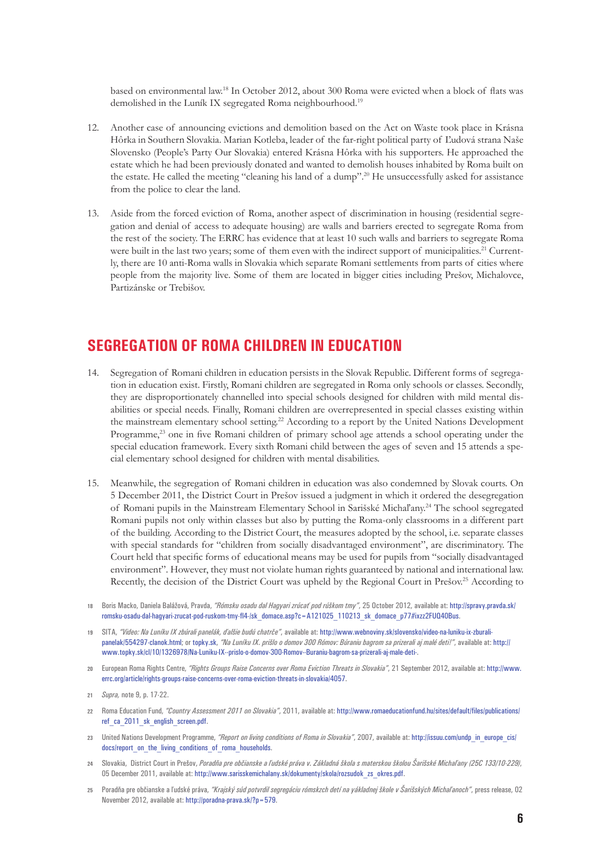based on environmental law.18 In October 2012, about 300 Roma were evicted when a block of flats was demolished in the Luník IX segregated Roma neighbourhood.<sup>19</sup>

- 12. Another case of announcing evictions and demolition based on the Act on Waste took place in Krásna Hôrka in Southern Slovakia. Marian Kotleba, leader of the far-right political party of Ľudová strana Naše Slovensko (People's Party Our Slovakia) entered Krásna Hôrka with his supporters. He approached the estate which he had been previously donated and wanted to demolish houses inhabited by Roma built on the estate. He called the meeting "cleaning his land of a dump".20 He unsuccessfully asked for assistance from the police to clear the land.
- 13. Aside from the forced eviction of Roma, another aspect of discrimination in housing (residential segregation and denial of access to adequate housing) are walls and barriers erected to segregate Roma from the rest of the society. The ERRC has evidence that at least 10 such walls and barriers to segregate Roma were built in the last two years; some of them even with the indirect support of municipalities.<sup>21</sup> Currently, there are 10 anti-Roma walls in Slovakia which separate Romani settlements from parts of cities where people from the majority live. Some of them are located in bigger cities including Prešov, Michalovce, Partizánske or Trebišov.

## **Segregation of Roma children in education**

- 14. Segregation of Romani children in education persists in the Slovak Republic. Different forms of segregation in education exist. Firstly, Romani children are segregated in Roma only schools or classes. Secondly, they are disproportionately channelled into special schools designed for children with mild mental disabilities or special needs. Finally, Romani children are overrepresented in special classes existing within the mainstream elementary school setting.22 According to a report by the United Nations Development Programme,<sup>23</sup> one in five Romani children of primary school age attends a school operating under the special education framework. Every sixth Romani child between the ages of seven and 15 attends a special elementary school designed for children with mental disabilities.
- 15. Meanwhile, the segregation of Romani children in education was also condemned by Slovak courts. On 5 December 2011, the District Court in Prešov issued a judgment in which it ordered the desegregation of Romani pupils in the Mainstream Elementary School in Sarišské Michaľany.24 The school segregated Romani pupils not only within classes but also by putting the Roma-only classrooms in a different part of the building. According to the District Court, the measures adopted by the school, i.e. separate classes with special standards for "children from socially disadvantaged environment", are discriminatory. The Court held that specific forms of educational means may be used for pupils from "socially disadvantaged environment". However, they must not violate human rights guaranteed by national and international law. Recently, the decision of the District Court was upheld by the Regional Court in Prešov.<sup>25</sup> According to
- **18** Boris Macko, Daniela Balážová, Pravda, *"Rómsku osadu dal Hagyari zrúcať pod rúškom tmy"*, 25 October 2012, available at: [http://spravy.pravda.sk/](http://spravy.pravda.sk/romsku-osadu-dal-hagyari-zrucat-pod-ruskom-tmy-fl4-/sk_domace.asp?c=A121025_110213_sk_domace_p77#ixzz2FUQ40Bus) [romsku-osadu-dal-hagyari-zrucat-pod-ruskom-tmy-fl4-/sk\\_domace.asp?c=A121025\\_110213\\_sk\\_domace\\_p77#ixzz2FUQ40Bus](http://spravy.pravda.sk/romsku-osadu-dal-hagyari-zrucat-pod-ruskom-tmy-fl4-/sk_domace.asp?c=A121025_110213_sk_domace_p77#ixzz2FUQ40Bus).
- **19** SITA, *"Video: Na Luníku IX zbúrali panelák, ďalšie budú chatrče"*, available at: [http://www.webnoviny.sk/slovensko/video-na-luniku-ix-zburali](http://www.webnoviny.sk/slovensko/video-na-luniku-ix-zburali-panelak/554297-clanok.html (accessed: 07 December 2012); or topky.sk)[panelak/554297-clanok.html; or](http://www.webnoviny.sk/slovensko/video-na-luniku-ix-zburali-panelak/554297-clanok.html (accessed: 07 December 2012); or topky.sk) topky.sk, *"Na Luníku IX. prišlo o domov 300 Rómov: Búraniu bagrom sa prizerali aj malé deti!"*, available at: [http://](http://www.topky.sk/cl/10/1326978/Na-Luniku-IX--prislo-o-domov-300-Romov--Buraniu-bagrom-sa-prizerali-aj-male-deti-) [www.topky.sk/cl/10/1326978/Na-Luniku-IX--prislo-o-domov-300-Romov--Buraniu-bagrom-sa-prizerali-aj-male-deti-](http://www.topky.sk/cl/10/1326978/Na-Luniku-IX--prislo-o-domov-300-Romov--Buraniu-bagrom-sa-prizerali-aj-male-deti-).
- **20** European Roma Rights Centre, *"Rights Groups Raise Concerns over Roma Eviction Threats in Slovakia"*, 21 September 2012, available at: [http://www.](http://www.errc.org/article/rights-groups-raise-concerns-over-roma-eviction-threats-in-slovakia/4057) [errc.org/article/rights-groups-raise-concerns-over-roma-eviction-threats-in-slovakia/4057.](http://www.errc.org/article/rights-groups-raise-concerns-over-roma-eviction-threats-in-slovakia/4057)
- **21** *Supra,* note 9, p. 17-22.
- **22** Roma Education Fund, *"Country Assessment 2011 on Slovakia"*, 2011, available at: [http://www.romaeducationfund.hu/sites/default/files/publications/](http://www.romaeducationfund.hu/sites/default/files/publications/ref_ca_2011_sk_english_screen.pdf) [ref\\_ca\\_2011\\_sk\\_english\\_screen.pdf](http://www.romaeducationfund.hu/sites/default/files/publications/ref_ca_2011_sk_english_screen.pdf).
- **23** United Nations Development Programme, *"Report on living conditions of Roma in Slovakia"*, 2007, available at: [http://issuu.com/undp\\_in\\_europe\\_cis/](http://issuu.com/undp_in_europe_cis/docs/report_on_the_living_conditions_of_roma_households) [docs/report\\_on\\_the\\_living\\_conditions\\_of\\_roma\\_households.](http://issuu.com/undp_in_europe_cis/docs/report_on_the_living_conditions_of_roma_households)
- **24** Slovakia, District Court in Prešov, *Poradňa pre občianske a ľudské práva v. Základná škola s materskou školou Šarišské Michaľany (25C 133/10-229)*, 05 December 2011, available at: [http://www.sarisskemichalany.sk/dokumenty/skola/rozsudok\\_zs\\_okres.pdf](http://www.sarisskemichalany.sk/dokumenty/skola/rozsudok_zs_okres.pdf).
- **25** Poradňa pre občianske a ľudské práva, *"Krajský súd potvrdil segregáciu rómskzch detí na yákladnej škole v Šarišských Michaľanoch"*, press release, 02 November 2012, available at: [http://poradna-prava.sk/?p=579.](http://poradna-prava.sk/?p=579)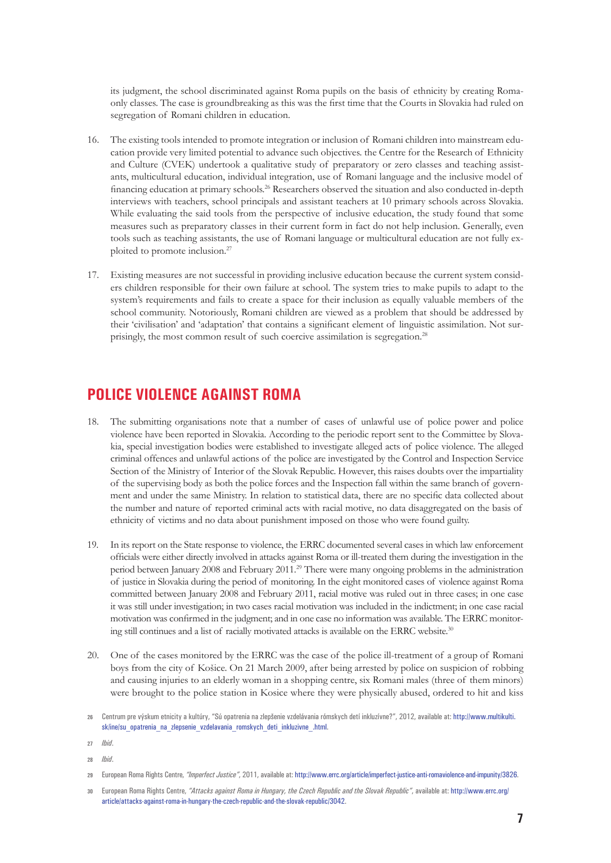its judgment, the school discriminated against Roma pupils on the basis of ethnicity by creating Romaonly classes. The case is groundbreaking as this was the first time that the Courts in Slovakia had ruled on segregation of Romani children in education.

- 16. The existing tools intended to promote integration or inclusion of Romani children into mainstream education provide very limited potential to advance such objectives. the Centre for the Research of Ethnicity and Culture (CVEK) undertook a qualitative study of preparatory or zero classes and teaching assistants, multicultural education, individual integration, use of Romani language and the inclusive model of financing education at primary schools.26 Researchers observed the situation and also conducted in-depth interviews with teachers, school principals and assistant teachers at 10 primary schools across Slovakia. While evaluating the said tools from the perspective of inclusive education, the study found that some measures such as preparatory classes in their current form in fact do not help inclusion. Generally, even tools such as teaching assistants, the use of Romani language or multicultural education are not fully exploited to promote inclusion.<sup>27</sup>
- 17. Existing measures are not successful in providing inclusive education because the current system considers children responsible for their own failure at school. The system tries to make pupils to adapt to the system's requirements and fails to create a space for their inclusion as equally valuable members of the school community. Notoriously, Romani children are viewed as a problem that should be addressed by their 'civilisation' and 'adaptation' that contains a significant element of linguistic assimilation. Not surprisingly, the most common result of such coercive assimilation is segregation.<sup>28</sup>

## **Police violence against Roma**

- 18. The submitting organisations note that a number of cases of unlawful use of police power and police violence have been reported in Slovakia. According to the periodic report sent to the Committee by Slovakia, special investigation bodies were established to investigate alleged acts of police violence. The alleged criminal offences and unlawful actions of the police are investigated by the Control and Inspection Service Section of the Ministry of Interior of the Slovak Republic. However, this raises doubts over the impartiality of the supervising body as both the police forces and the Inspection fall within the same branch of government and under the same Ministry. In relation to statistical data, there are no specific data collected about the number and nature of reported criminal acts with racial motive, no data disaggregated on the basis of ethnicity of victims and no data about punishment imposed on those who were found guilty.
- 19. In its report on the State response to violence, the ERRC documented several cases in which law enforcement officials were either directly involved in attacks against Roma or ill-treated them during the investigation in the period between January 2008 and February 2011.29 There were many ongoing problems in the administration of justice in Slovakia during the period of monitoring. In the eight monitored cases of violence against Roma committed between January 2008 and February 2011, racial motive was ruled out in three cases; in one case it was still under investigation; in two cases racial motivation was included in the indictment; in one case racial motivation was confirmed in the judgment; and in one case no information was available. The ERRC monitoring still continues and a list of racially motivated attacks is available on the ERRC website.<sup>30</sup>
- 20. One of the cases monitored by the ERRC was the case of the police ill-treatment of a group of Romani boys from the city of Košice. On 21 March 2009, after being arrested by police on suspicion of robbing and causing injuries to an elderly woman in a shopping centre, six Romani males (three of them minors) were brought to the police station in Kosice where they were physically abused, ordered to hit and kiss

**27** *Ibid*.

**28** *Ibid*.

**<sup>26</sup>** Centrum pre výskum etnicity a kultúry, "Sú opatrenia na zlepšenie vzdelávania rómskych detí inkluzívne?", 2012, available at: [http://www.multikulti.](http://www.multikulti.sk/ine/su_opatrenia_na_zlepsenie_vzdelavania_romskych_deti_inkluzivne_.html) sk/ine/su opatrenia na zlepsenie vzdelavania romskych deti inkluzivne .html.

**<sup>29</sup>** European Roma Rights Centre, *"Imperfect Justice"*, 2011, available at: http://www.errc.org/article/imperfect-justice-anti-romaviolence-and-impunity/3826.

**<sup>30</sup>** European Roma Rights Centre, *"Attacks against Roma in Hungary, the Czech Republic and the Slovak Republic"*, available at: [http://www.errc.org/](http://www.errc.org/article/attacks-against-roma-in-hungary-the-czech-republic-and-the-slovak-republic/3042) [article/attacks-against-roma-in-hungary-the-czech-republic-and-the-slovak-republic/3042.](http://www.errc.org/article/attacks-against-roma-in-hungary-the-czech-republic-and-the-slovak-republic/3042)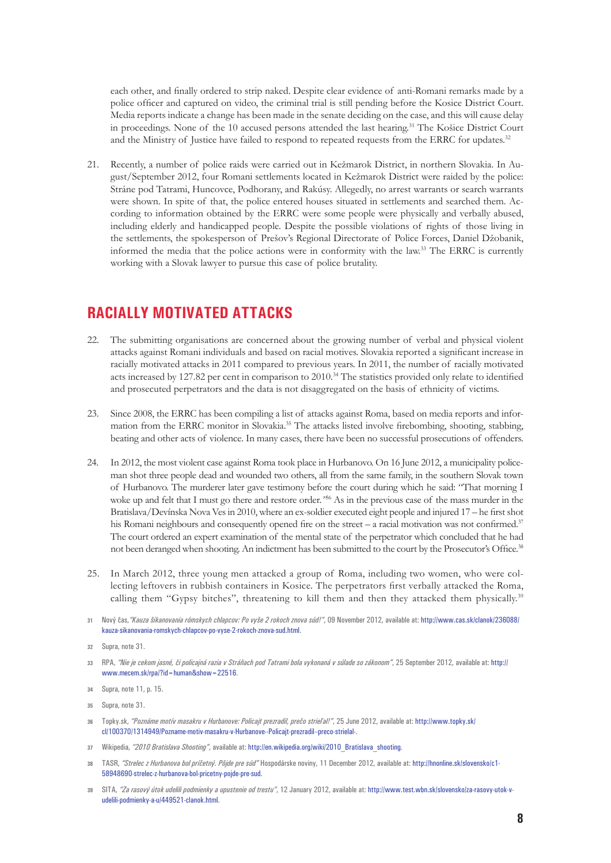each other, and finally ordered to strip naked. Despite clear evidence of anti-Romani remarks made by a police officer and captured on video, the criminal trial is still pending before the Kosice District Court. Media reports indicate a change has been made in the senate deciding on the case, and this will cause delay in proceedings. None of the 10 accused persons attended the last hearing.<sup>31</sup> The Košice District Court and the Ministry of Justice have failed to respond to repeated requests from the ERRC for updates.<sup>32</sup>

21. Recently, a number of police raids were carried out in Kežmarok District, in northern Slovakia. In August/September 2012, four Romani settlements located in Kežmarok District were raided by the police: Stráne pod Tatrami, Huncovce, Podhorany, and Rakúsy. Allegedly, no arrest warrants or search warrants were shown. In spite of that, the police entered houses situated in settlements and searched them. According to information obtained by the ERRC were some people were physically and verbally abused, including elderly and handicapped people. Despite the possible violations of rights of those living in the settlements, the spokesperson of Prešov's Regional Directorate of Police Forces, Daniel Džobanik, informed the media that the police actions were in conformity with the law.33 The ERRC is currently working with a Slovak lawyer to pursue this case of police brutality.

## **Racially motivated attacks**

- 22. The submitting organisations are concerned about the growing number of verbal and physical violent attacks against Romani individuals and based on racial motives. Slovakia reported a significant increase in racially motivated attacks in 2011 compared to previous years. In 2011, the number of racially motivated acts increased by 127.82 per cent in comparison to 2010.34 The statistics provided only relate to identified and prosecuted perpetrators and the data is not disaggregated on the basis of ethnicity of victims.
- 23. Since 2008, the ERRC has been compiling a list of attacks against Roma, based on media reports and information from the ERRC monitor in Slovakia.35 The attacks listed involve firebombing, shooting, stabbing, beating and other acts of violence. In many cases, there have been no successful prosecutions of offenders.
- 24. In 2012, the most violent case against Roma took place in Hurbanovo. On 16 June 2012, a municipality policeman shot three people dead and wounded two others, all from the same family, in the southern Slovak town of Hurbanovo. The murderer later gave testimony before the court during which he said: "That morning I woke up and felt that I must go there and restore order*."*<sup>36</sup> As in the previous case of the mass murder in the Bratislava/Devínska Nova Ves in 2010, where an ex-soldier executed eight people and injured 17 – he first shot his Romani neighbours and consequently opened fire on the street – a racial motivation was not confirmed.<sup>37</sup> The court ordered an expert examination of the mental state of the perpetrator which concluded that he had not been deranged when shooting. An indictment has been submitted to the court by the Prosecutor's Office.38
- 25. In March 2012, three young men attacked a group of Roma, including two women, who were collecting leftovers in rubbish containers in Kosice. The perpetrators first verbally attacked the Roma, calling them "Gypsy bitches", threatening to kill them and then they attacked them physically.<sup>39</sup>
- **31** Nový čas,*"Kauza šikanovania rómskych chlapcov: Po vyše 2 rokoch znova súd!"*, 09 November 2012, available at: [http://www.cas.sk/clanok/236088/](http://www.cas.sk/clanok/236088/kauza-sikanovania-romskych-chlapcov-po-vyse-2-rokoch-znova-sud.html) [kauza-sikanovania-romskych-chlapcov-po-vyse-2-rokoch-znova-sud.html.](http://www.cas.sk/clanok/236088/kauza-sikanovania-romskych-chlapcov-po-vyse-2-rokoch-znova-sud.html)

- **33** RPA, *"Nie je cekom jasné, či policajná razia v Stráňach pod Tatrami bola vykonaná v súlade so zákonom"*, 25 September 2012, available at: [http://](http://www.mecem.sk/rpa/?id=human&show=22516) [www.mecem.sk/rpa/?id=human&show=22516](http://www.mecem.sk/rpa/?id=human&show=22516).
- **34** Supra, note 11, p. 15.

- **36** Topky.sk, *"Poznáme motív masakru v Hurbanove: Policajt prezradil, prečo strieľal!"*, 25 June 2012, available at: [http://www.topky.sk/](http://www.topky.sk/cl/100370/1314949/Pozname-motiv-masakru-v-Hurbanove--Policajt-prezradil--preco-strielal-) [cl/100370/1314949/Pozname-motiv-masakru-v-Hurbanove--Policajt-prezradil--preco-strielal-.](http://www.topky.sk/cl/100370/1314949/Pozname-motiv-masakru-v-Hurbanove--Policajt-prezradil--preco-strielal-)
- **37** Wikipedia, *"2010 Bratislava Shooting"*, available at: [http://en.wikipedia.org/wiki/2010\\_Bratislava\\_shooting.](http://en.wikipedia.org/wiki/2010_Bratislava_shooting)
- **38** TASR, *"Strelec z Hurbanova bol príčetný. Pôjde pre súd"* Hospodárske noviny, 11 December 2012, available at: [http://hnonline.sk/slovensko/c1-](http://hnonline.sk/slovensko/c1-58948690-strelec-z-hurbanova-bol-pricetny-pojde-pre-sud) [58948690-strelec-z-hurbanova-bol-pricetny-pojde-pre-sud](http://hnonline.sk/slovensko/c1-58948690-strelec-z-hurbanova-bol-pricetny-pojde-pre-sud).
- **39** SITA, *"Za rasový útok udelili podmienky a upustenie od trestu"*, 12 January 2012, available at: [http://www.test.wbn.sk/slovensko/za-rasovy-utok-v](http://www.test.wbn.sk/slovensko/za-rasovy-utok-v-udelili-podmienky-a-u/449521-clanok.html)[udelili-podmienky-a-u/449521-clanok.html](http://www.test.wbn.sk/slovensko/za-rasovy-utok-v-udelili-podmienky-a-u/449521-clanok.html).

**<sup>32</sup>** Supra, note 31.

**<sup>35</sup>** Supra, note 31.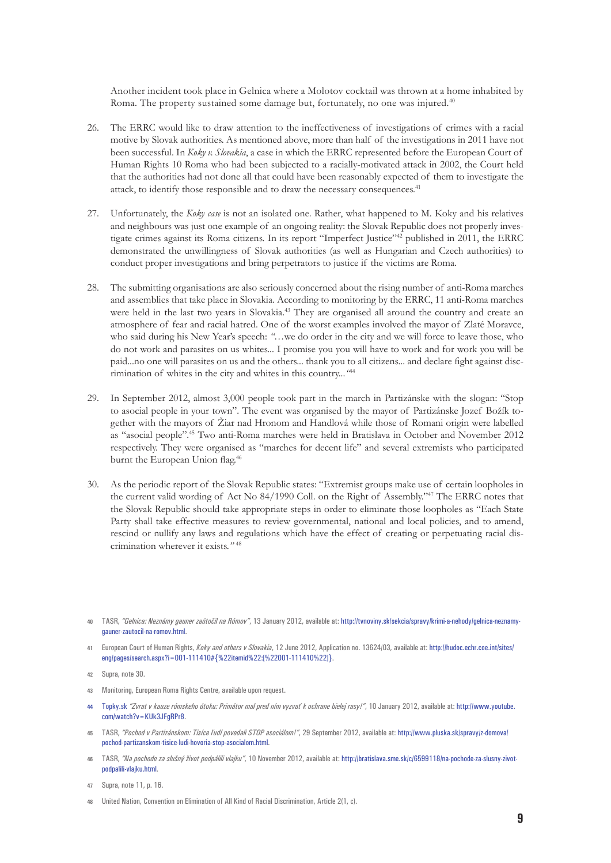Another incident took place in Gelnica where a Molotov cocktail was thrown at a home inhabited by Roma. The property sustained some damage but, fortunately, no one was injured.<sup>40</sup>

- 26. The ERRC would like to draw attention to the ineffectiveness of investigations of crimes with a racial motive by Slovak authorities. As mentioned above, more than half of the investigations in 2011 have not been successful. In *Koky v. Slovakia*, a case in which the ERRC represented before the European Court of Human Rights 10 Roma who had been subjected to a racially-motivated attack in 2002, the Court held that the authorities had not done all that could have been reasonably expected of them to investigate the attack, to identify those responsible and to draw the necessary consequences.<sup>41</sup>
- 27. Unfortunately, the *Koky case* is not an isolated one. Rather, what happened to M. Koky and his relatives and neighbours was just one example of an ongoing reality: the Slovak Republic does not properly investigate crimes against its Roma citizens. In its report "Imperfect Justice"42 published in 2011, the ERRC demonstrated the unwillingness of Slovak authorities (as well as Hungarian and Czech authorities) to conduct proper investigations and bring perpetrators to justice if the victims are Roma.
- 28. The submitting organisations are also seriously concerned about the rising number of anti-Roma marches and assemblies that take place in Slovakia. According to monitoring by the ERRC, 11 anti-Roma marches were held in the last two years in Slovakia.<sup>43</sup> They are organised all around the country and create an atmosphere of fear and racial hatred. One of the worst examples involved the mayor of Zlaté Moravce, who said during his New Year's speech: *"…*we do order in the city and we will force to leave those, who do not work and parasites on us whites... I promise you you will have to work and for work you will be paid...no one will parasites on us and the others... thank you to all citizens... and declare fight against discrimination of whites in the city and whites in this country...*"*<sup>44</sup>
- 29. In September 2012, almost 3,000 people took part in the march in Partizánske with the slogan: "Stop to asocial people in your town". The event was organised by the mayor of Partizánske Jozef Božík together with the mayors of Žiar nad Hronom and Handlová while those of Romani origin were labelled as "asocial people".45 Two anti-Roma marches were held in Bratislava in October and November 2012 respectively. They were organised as "marches for decent life" and several extremists who participated burnt the European Union flag.<sup>46</sup>
- 30. As the periodic report of the Slovak Republic states: "Extremist groups make use of certain loopholes in the current valid wording of Act No 84/1990 Coll. on the Right of Assembly."47 The ERRC notes that the Slovak Republic should take appropriate steps in order to eliminate those loopholes as "Each State Party shall take effective measures to review governmental, national and local policies, and to amend, rescind or nullify any laws and regulations which have the effect of creating or perpetuating racial discrimination wherever it exists.*"* <sup>48</sup>

**41** European Court of Human Rights, *Koky and others v Slovakia*, 12 June 2012, Application no. 13624/03, available at: http://hudoc.echr.coe.int/sites/ eng/pages/search.aspx?i=001-111410#{%22itemid%22:[%22001-111410%22]}.

- **43** Monitoring, European Roma Rights Centre, available upon request.
- **44** Topky.sk *"Zvrat v kauze rómskeho útoku: Primátor mal pred ním vyzvať k ochrane bielej rasy!"*, 10 January 2012, available at: [http://www.youtube.](http://www.youtube.com/watch?v=KUk3JFgRPr8) [com/watch?v=KUk3JFgRPr8.](http://www.youtube.com/watch?v=KUk3JFgRPr8)
- **45** TASR, *"Pochod v Partizánskom: Tisíce ľudí povedali STOP asociálom!"*, 29 September 2012, available at: [http://www.pluska.sk/spravy/z-domova/](http://www.pluska.sk/spravy/z-domova/pochod-partizanskom-tisice-ludi-hovoria-stop-asocialom.html) [pochod-partizanskom-tisice-ludi-hovoria-stop-asocialom.html](http://www.pluska.sk/spravy/z-domova/pochod-partizanskom-tisice-ludi-hovoria-stop-asocialom.html).
- **46** TASR, *"Na pochode za slušný život podpálili vlajku"*, 10 November 2012, available at: [http://bratislava.sme.sk/c/6599118/na-pochode-za-slusny-zivot](http://bratislava.sme.sk/c/6599118/na-pochode-za-slusny-zivot-podpalili-vlajku.html)[podpalili-vlajku.html.](http://bratislava.sme.sk/c/6599118/na-pochode-za-slusny-zivot-podpalili-vlajku.html)

**48** United Nation, Convention on Elimination of All Kind of Racial Discrimination, Article 2(1, c).

**<sup>40</sup>** TASR, *"Gelnica: Neznámy gauner zaútočil na Rómov"*, 13 January 2012, available at: [http://tvnoviny.sk/sekcia/spravy/krimi-a-nehody/gelnica-neznamy](http://tvnoviny.sk/sekcia/spravy/krimi-a-nehody/gelnica-neznamy-gauner-zautocil-na-romov.html)[gauner-zautocil-na-romov.html](http://tvnoviny.sk/sekcia/spravy/krimi-a-nehody/gelnica-neznamy-gauner-zautocil-na-romov.html).

**<sup>42</sup>** Supra, note 30.

**<sup>47</sup>** Supra, note 11, p. 16.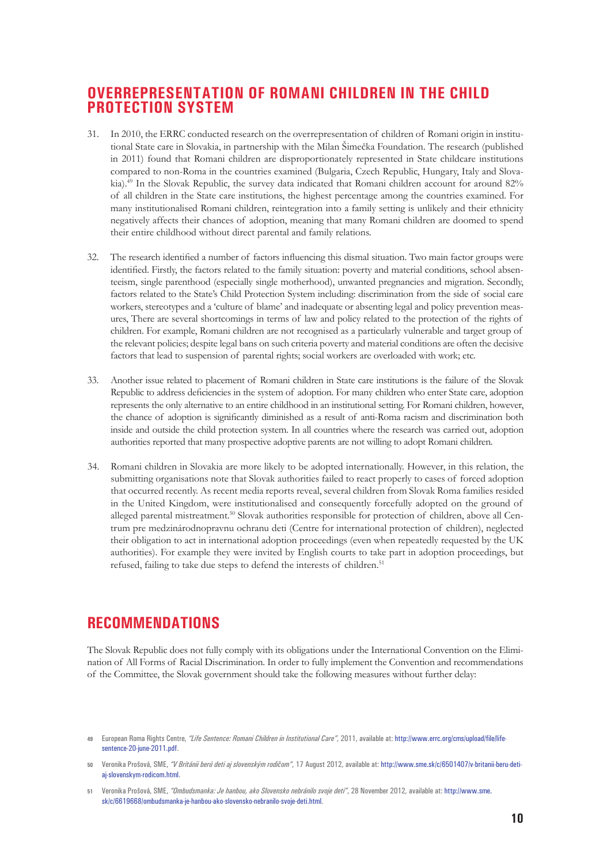## **Overrepresentation of Romani children in the Child Protection System**

- 31. In 2010, the ERRC conducted research on the overrepresentation of children of Romani origin in institutional State care in Slovakia, in partnership with the Milan Šimečka Foundation. The research (published in 2011) found that Romani children are disproportionately represented in State childcare institutions compared to non-Roma in the countries examined (Bulgaria, Czech Republic, Hungary, Italy and Slovakia).49 In the Slovak Republic, the survey data indicated that Romani children account for around 82% of all children in the State care institutions, the highest percentage among the countries examined. For many institutionalised Romani children, reintegration into a family setting is unlikely and their ethnicity negatively affects their chances of adoption, meaning that many Romani children are doomed to spend their entire childhood without direct parental and family relations.
- 32. The research identified a number of factors influencing this dismal situation. Two main factor groups were identified. Firstly, the factors related to the family situation: poverty and material conditions, school absenteeism, single parenthood (especially single motherhood), unwanted pregnancies and migration. Secondly, factors related to the State's Child Protection System including: discrimination from the side of social care workers, stereotypes and a 'culture of blame' and inadequate or absenting legal and policy prevention measures, There are several shortcomings in terms of law and policy related to the protection of the rights of children. For example, Romani children are not recognised as a particularly vulnerable and target group of the relevant policies; despite legal bans on such criteria poverty and material conditions are often the decisive factors that lead to suspension of parental rights; social workers are overloaded with work; etc.
- 33. Another issue related to placement of Romani children in State care institutions is the failure of the Slovak Republic to address deficiencies in the system of adoption. For many children who enter State care, adoption represents the only alternative to an entire childhood in an institutional setting. For Romani children, however, the chance of adoption is significantly diminished as a result of anti-Roma racism and discrimination both inside and outside the child protection system. In all countries where the research was carried out, adoption authorities reported that many prospective adoptive parents are not willing to adopt Romani children.
- 34. Romani children in Slovakia are more likely to be adopted internationally. However, in this relation, the submitting organisations note that Slovak authorities failed to react properly to cases of forced adoption that occurred recently. As recent media reports reveal, several children from Slovak Roma families resided in the United Kingdom, were institutionalised and consequently forcefully adopted on the ground of alleged parental mistreatment.50 Slovak authorities responsible for protection of children, above all Centrum pre medzinárodnopravnu ochranu deti (Centre for international protection of children), neglected their obligation to act in international adoption proceedings (even when repeatedly requested by the UK authorities). For example they were invited by English courts to take part in adoption proceedings, but refused, failing to take due steps to defend the interests of children.<sup>51</sup>

## **Recommendations**

The Slovak Republic does not fully comply with its obligations under the International Convention on the Elimination of All Forms of Racial Discrimination. In order to fully implement the Convention and recommendations of the Committee, the Slovak government should take the following measures without further delay:

**<sup>49</sup>** European Roma Rights Centre, *"Life Sentence: Romani Children in Institutional Care"*, 2011, available at: [http://www.errc.org/cms/upload/file/life](http://www.errc.org/cms/upload/file/life-sentence-20-june-2011.pdf)[sentence-20-june-2011.pdf.](http://www.errc.org/cms/upload/file/life-sentence-20-june-2011.pdf)

**<sup>50</sup>** Veronika Prošová, SME, *"V Británii berú deti aj slovenským rodičom"*, 17 August 2012, available at: [http://www.sme.sk/c/6501407/v-britanii-beru-deti](http://www.sme.sk/c/6501407/v-britanii-beru-deti-aj-slovenskym-rodicom.html)[aj-slovenskym-rodicom.html](http://www.sme.sk/c/6501407/v-britanii-beru-deti-aj-slovenskym-rodicom.html).

**<sup>51</sup>** Veronika Prošová, SME, *"Ombudsmanka: Je hanbou, ako Slovensko nebránilo svoje deti"*, 28 November 2012, available at: [http://www.sme.](http://www.sme.sk/c/6619668/ombudsmanka-je-hanbou-ako-slovensko-nebranilo-svoje-deti.html) [sk/c/6619668/ombudsmanka-je-hanbou-ako-slovensko-nebranilo-svoje-deti.html](http://www.sme.sk/c/6619668/ombudsmanka-je-hanbou-ako-slovensko-nebranilo-svoje-deti.html).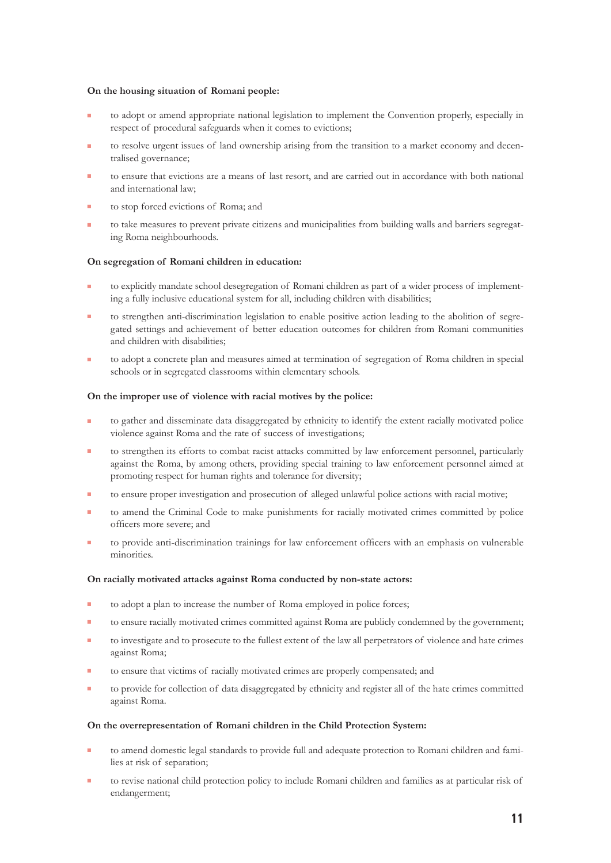#### **On the housing situation of Romani people:**

- to adopt or amend appropriate national legislation to implement the Convention properly, especially in respect of procedural safeguards when it comes to evictions;
- to resolve urgent issues of land ownership arising from the transition to a market economy and decentralised governance;
- to ensure that evictions are a means of last resort, and are carried out in accordance with both national and international law;
- to stop forced evictions of Roma; and
- to take measures to prevent private citizens and municipalities from building walls and barriers segregating Roma neighbourhoods.

#### **On segregation of Romani children in education:**

- to explicitly mandate school desegregation of Romani children as part of a wider process of implementing a fully inclusive educational system for all, including children with disabilities;
- to strengthen anti-discrimination legislation to enable positive action leading to the abolition of segregated settings and achievement of better education outcomes for children from Romani communities and children with disabilities;
- to adopt a concrete plan and measures aimed at termination of segregation of Roma children in special schools or in segregated classrooms within elementary schools.

#### **On the improper use of violence with racial motives by the police:**

- to gather and disseminate data disaggregated by ethnicity to identify the extent racially motivated police violence against Roma and the rate of success of investigations;
- <sup>Q</sup> to strengthen its efforts to combat racist attacks committed by law enforcement personnel, particularly against the Roma, by among others, providing special training to law enforcement personnel aimed at promoting respect for human rights and tolerance for diversity;
- to ensure proper investigation and prosecution of alleged unlawful police actions with racial motive;
- to amend the Criminal Code to make punishments for racially motivated crimes committed by police officers more severe; and
- <sup>Q</sup> to provide anti-discrimination trainings for law enforcement officers with an emphasis on vulnerable minorities.

#### **On racially motivated attacks against Roma conducted by non-state actors:**

- $\blacksquare$  to adopt a plan to increase the number of Roma employed in police forces;
- to ensure racially motivated crimes committed against Roma are publicly condemned by the government;
- to investigate and to prosecute to the fullest extent of the law all perpetrators of violence and hate crimes against Roma;
- to ensure that victims of racially motivated crimes are properly compensated; and
- to provide for collection of data disaggregated by ethnicity and register all of the hate crimes committed against Roma.

#### **On the overrepresentation of Romani children in the Child Protection System:**

- to amend domestic legal standards to provide full and adequate protection to Romani children and families at risk of separation;
- to revise national child protection policy to include Romani children and families as at particular risk of endangerment;